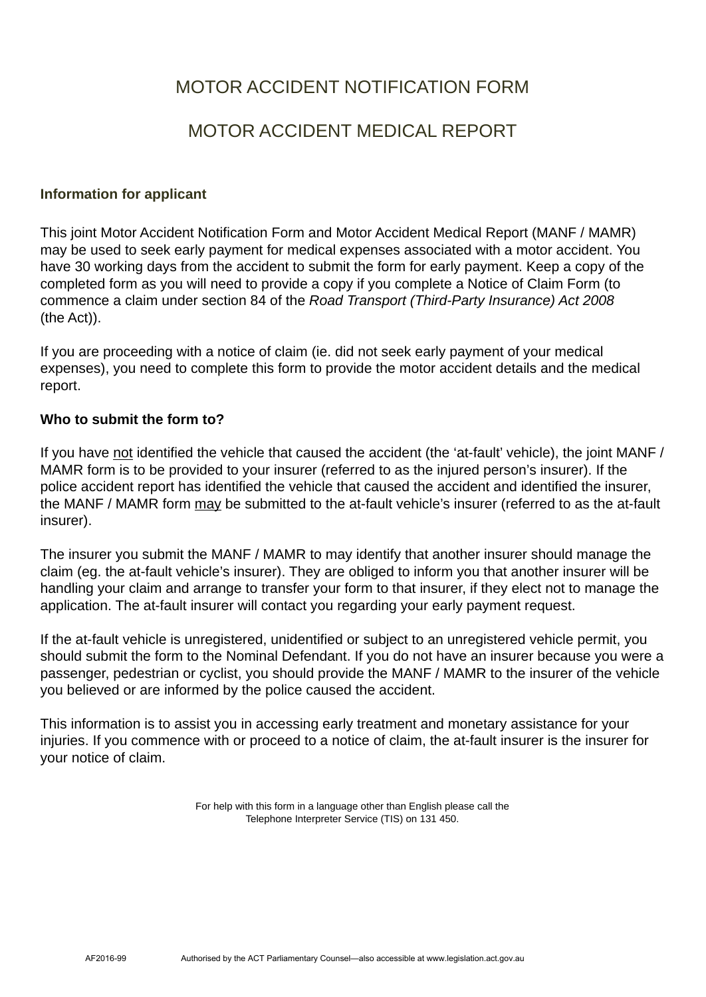# MOTOR ACCIDENT NOTIFICATION FORM

# MOTOR ACCIDENT MEDICAL REPORT

## **Information for applicant**

This joint Motor Accident Notification Form and Motor Accident Medical Report (MANF / MAMR) may be used to seek early payment for medical expenses associated with a motor accident. You have 30 working days from the accident to submit the form for early payment. Keep a copy of the completed form as you will need to provide a copy if you complete a Notice of Claim Form (to commence a claim under section 84 of the *Road Transport (Third-Party Insurance) Act 2008* (the Act)).

If you are proceeding with a notice of claim (ie. did not seek early payment of your medical expenses), you need to complete this form to provide the motor accident details and the medical report.

## **Who to submit the form to?**

If you have not identified the vehicle that caused the accident (the 'at-fault' vehicle), the joint MANF / MAMR form is to be provided to your insurer (referred to as the injured person's insurer). If the police accident report has identified the vehicle that caused the accident and identified the insurer, the MANF / MAMR form may be submitted to the at-fault vehicle's insurer (referred to as the at-fault insurer).

The insurer you submit the MANF / MAMR to may identify that another insurer should manage the claim (eg. the at-fault vehicle's insurer). They are obliged to inform you that another insurer will be handling your claim and arrange to transfer your form to that insurer, if they elect not to manage the application. The at-fault insurer will contact you regarding your early payment request.

If the at-fault vehicle is unregistered, unidentified or subject to an unregistered vehicle permit, you should submit the form to the Nominal Defendant. If you do not have an insurer because you were a passenger, pedestrian or cyclist, you should provide the MANF / MAMR to the insurer of the vehicle you believed or are informed by the police caused the accident.

This information is to assist you in accessing early treatment and monetary assistance for your injuries. If you commence with or proceed to a notice of claim, the at-fault insurer is the insurer for your notice of claim.

> For help with this form in a language other than English please call the Telephone Interpreter Service (TIS) on 131 450.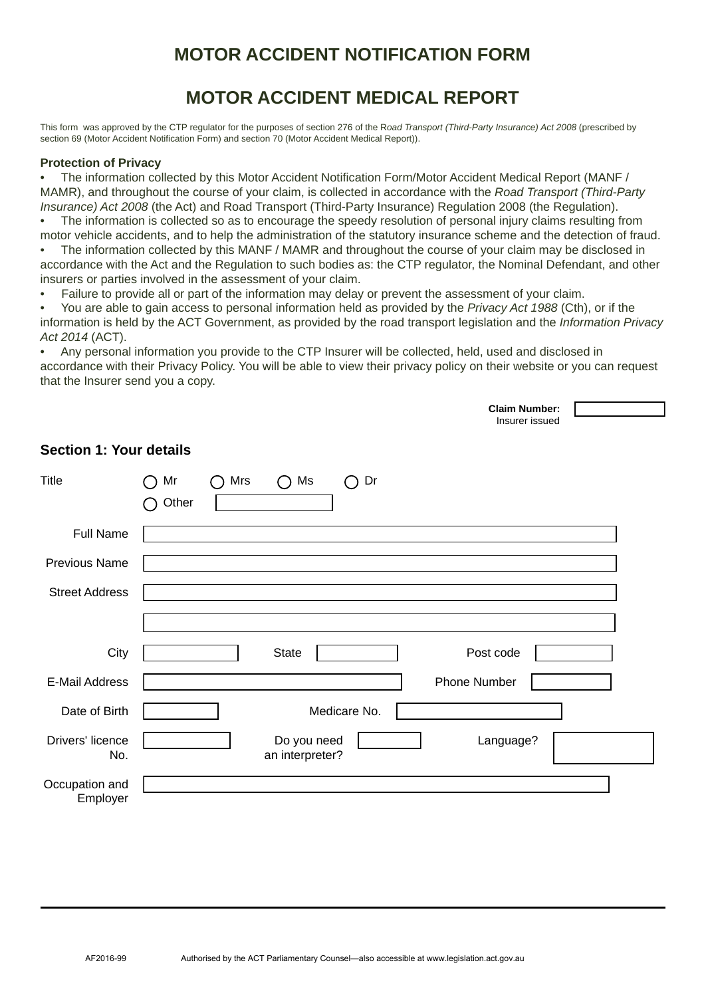# **MOTOR ACCIDENT NOTIFICATION FORM**

# **MOTOR ACCIDENT MEDICAL REPORT**

This form was approved by the CTP regulator for the purposes of section 276 of the R*oad Transport (Third-Party Insurance) Act 2008* (prescribed by section 69 (Motor Accident Notification Form) and section 70 (Motor Accident Medical Report)).

### **Protection of Privacy**

• The information collected by this Motor Accident Notification Form/Motor Accident Medical Report (MANF / MAMR), and throughout the course of your claim, is collected in accordance with the *Road Transport (Third-Party Insurance) Act 2008* (the Act) and Road Transport (Third-Party Insurance) Regulation 2008 (the Regulation).

The information is collected so as to encourage the speedy resolution of personal injury claims resulting from motor vehicle accidents, and to help the administration of the statutory insurance scheme and the detection of fraud.

The information collected by this MANF / MAMR and throughout the course of your claim may be disclosed in accordance with the Act and the Regulation to such bodies as: the CTP regulator, the Nominal Defendant, and other insurers or parties involved in the assessment of your claim.

• Failure to provide all or part of the information may delay or prevent the assessment of your claim.

• You are able to gain access to personal information held as provided by the *Privacy Act 1988* (Cth), or if the information is held by the ACT Government, as provided by the road transport legislation and the *Information Privacy Act 2014* (ACT).

• Any personal information you provide to the CTP Insurer will be collected, held, used and disclosed in accordance with their Privacy Policy. You will be able to view their privacy policy on their website or you can request that the Insurer send you a copy.

 **Claim Number:**

 $\Gamma$ 

|                                |                              |     |                                |                        | UKINI NUNINGI.<br>Insurer issued |  |
|--------------------------------|------------------------------|-----|--------------------------------|------------------------|----------------------------------|--|
| <b>Section 1: Your details</b> |                              |     |                                |                        |                                  |  |
| Title                          | Mr<br>$\rightarrow$<br>Other | Mrs | Ms<br>$\cap$                   | Dr<br>◯                |                                  |  |
| <b>Full Name</b>               |                              |     |                                |                        |                                  |  |
| <b>Previous Name</b>           |                              |     |                                |                        |                                  |  |
| <b>Street Address</b>          |                              |     |                                |                        |                                  |  |
|                                |                              |     |                                |                        |                                  |  |
| City                           |                              |     | <b>State</b>                   | $\blacktriangledown$   | Post code                        |  |
| <b>E-Mail Address</b>          |                              |     |                                |                        | Phone Number                     |  |
| Date of Birth                  |                              |     |                                | Medicare No.           |                                  |  |
| Drivers' licence<br>No.        |                              |     | Do you need<br>an interpreter? | $ \blacktriangledown $ | Language?                        |  |
| Occupation and<br>Employer     |                              |     |                                |                        |                                  |  |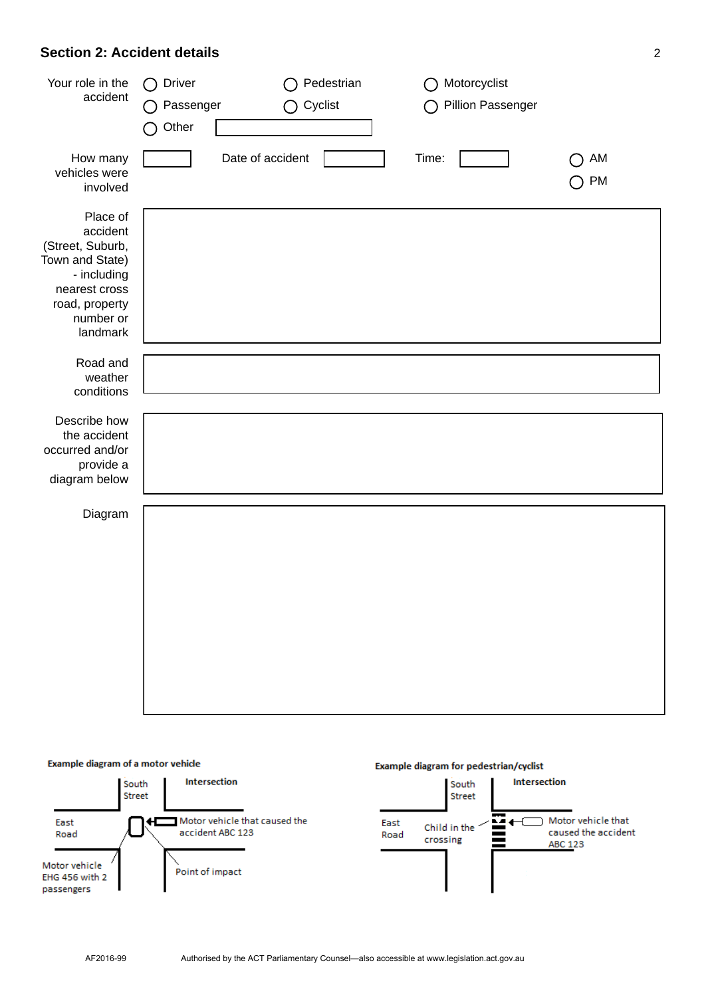## **Section 2: Accident details** 2

| Your role in the<br>accident                                                                                                           | Driver<br>( )<br>Passenger<br>Other | Cyclist          | Pedestrian | Motorcyclist<br>Pillion Passenger |                                             |
|----------------------------------------------------------------------------------------------------------------------------------------|-------------------------------------|------------------|------------|-----------------------------------|---------------------------------------------|
| How many<br>vehicles were<br>involved                                                                                                  |                                     | Date of accident |            | Time:                             | AM<br>$\overline{\phantom{a}}$<br><b>PM</b> |
| Place of<br>accident<br>(Street, Suburb,<br>Town and State)<br>- including<br>nearest cross<br>road, property<br>number or<br>landmark |                                     |                  |            |                                   |                                             |
| Road and<br>weather<br>conditions                                                                                                      |                                     |                  |            |                                   |                                             |
| Describe how<br>the accident<br>occurred and/or<br>provide a<br>diagram below                                                          |                                     |                  |            |                                   |                                             |
| Diagram                                                                                                                                |                                     |                  |            |                                   |                                             |
|                                                                                                                                        |                                     |                  |            |                                   |                                             |

### Example diagram of a motor vehicle

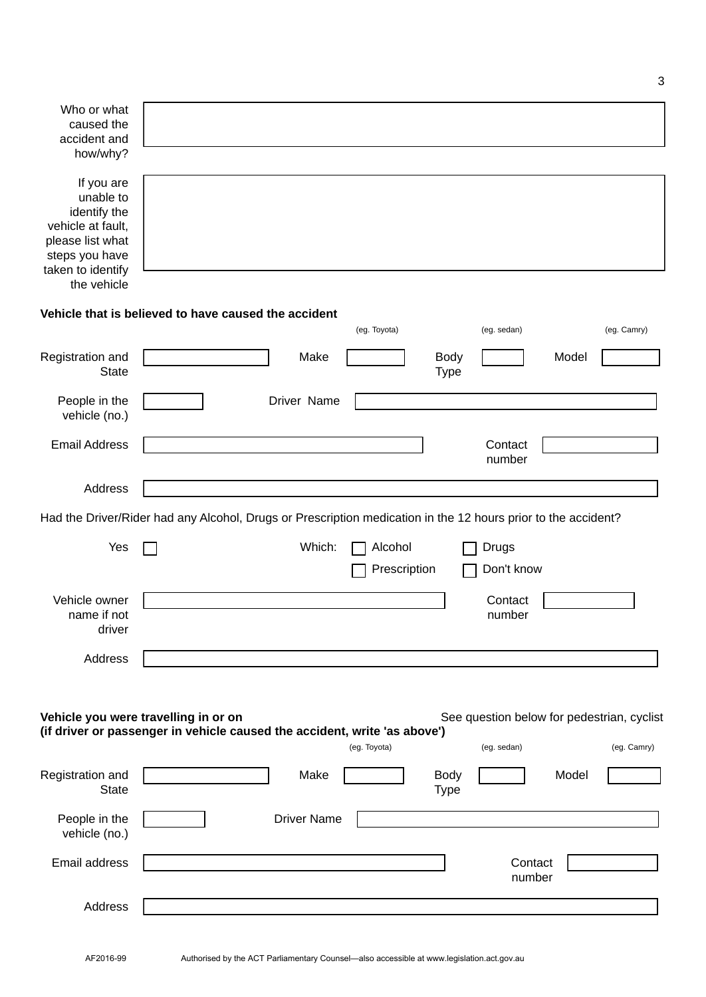| Who or what<br>caused the<br>accident and<br>how/why?                                                                                  |                                                                                                                                                                 |
|----------------------------------------------------------------------------------------------------------------------------------------|-----------------------------------------------------------------------------------------------------------------------------------------------------------------|
| If you are<br>unable to<br>identify the<br>vehicle at fault,<br>please list what<br>steps you have<br>taken to identify<br>the vehicle |                                                                                                                                                                 |
|                                                                                                                                        | Vehicle that is believed to have caused the accident                                                                                                            |
|                                                                                                                                        | (eg. Camry)<br>(eg. Toyota)<br>(eg. sedan)                                                                                                                      |
| Registration and<br><b>State</b>                                                                                                       | Make<br>Model<br><b>Body</b><br><b>Type</b>                                                                                                                     |
| People in the<br>vehicle (no.)                                                                                                         | Driver Name                                                                                                                                                     |
| <b>Email Address</b>                                                                                                                   | Contact<br>number                                                                                                                                               |
| Address                                                                                                                                |                                                                                                                                                                 |
|                                                                                                                                        | Had the Driver/Rider had any Alcohol, Drugs or Prescription medication in the 12 hours prior to the accident?                                                   |
| Yes                                                                                                                                    | Which:<br>Alcohol<br>Drugs<br>Prescription<br>Don't know                                                                                                        |
| Vehicle owner<br>name if not<br>driver                                                                                                 | Contact<br>number                                                                                                                                               |
| Address                                                                                                                                |                                                                                                                                                                 |
|                                                                                                                                        | Vehicle you were travelling in or on<br>See question below for pedestrian, cyclist<br>(if driver or passenger in vehicle caused the accident, write 'as above') |
|                                                                                                                                        | (eg. Toyota)<br>(eg. sedan)<br>(eg. Camry)                                                                                                                      |
| Registration and<br><b>State</b>                                                                                                       | Make<br>Model<br><b>Body</b><br><b>Type</b>                                                                                                                     |
| People in the<br>vehicle (no.)                                                                                                         | <b>Driver Name</b>                                                                                                                                              |
| Email address                                                                                                                          | Contact<br>number                                                                                                                                               |
| Address                                                                                                                                |                                                                                                                                                                 |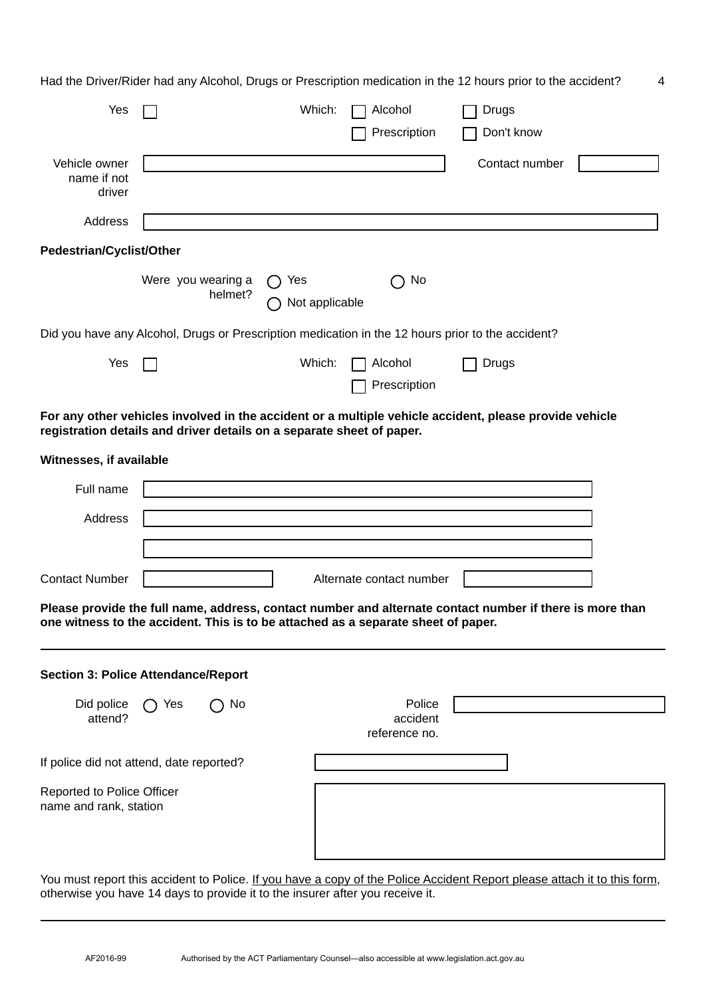Had the Driver/Rider had any Alcohol, Drugs or Prescription medication in the 12 hours prior to the accident? 4

| Yes                                                                               |                                                      |         | Which:                          | Alcohol                             | Drugs                                                                                                    |  |
|-----------------------------------------------------------------------------------|------------------------------------------------------|---------|---------------------------------|-------------------------------------|----------------------------------------------------------------------------------------------------------|--|
|                                                                                   |                                                      |         |                                 | Prescription                        | Don't know                                                                                               |  |
| Vehicle owner<br>name if not<br>driver                                            |                                                      |         |                                 |                                     | Contact number                                                                                           |  |
| Address                                                                           |                                                      |         |                                 |                                     |                                                                                                          |  |
| <b>Pedestrian/Cyclist/Other</b>                                                   |                                                      |         |                                 |                                     |                                                                                                          |  |
|                                                                                   | Were you wearing a                                   | helmet? | Yes<br>$\bigcap$ Not applicable | No                                  |                                                                                                          |  |
|                                                                                   |                                                      |         |                                 |                                     | Did you have any Alcohol, Drugs or Prescription medication in the 12 hours prior to the accident?        |  |
| Yes                                                                               |                                                      |         | Which:                          | Alcohol<br>Prescription             | Drugs                                                                                                    |  |
| registration details and driver details on a separate sheet of paper.             |                                                      |         |                                 |                                     | For any other vehicles involved in the accident or a multiple vehicle accident, please provide vehicle   |  |
| Witnesses, if available                                                           |                                                      |         |                                 |                                     |                                                                                                          |  |
| Full name                                                                         |                                                      |         |                                 |                                     |                                                                                                          |  |
| Address                                                                           |                                                      |         |                                 |                                     |                                                                                                          |  |
|                                                                                   |                                                      |         |                                 |                                     |                                                                                                          |  |
| <b>Contact Number</b>                                                             |                                                      |         |                                 | Alternate contact number            |                                                                                                          |  |
| one witness to the accident. This is to be attached as a separate sheet of paper. |                                                      |         |                                 |                                     | Please provide the full name, address, contact number and alternate contact number if there is more than |  |
| <b>Section 3: Police Attendance/Report</b>                                        |                                                      |         |                                 |                                     |                                                                                                          |  |
| Did police<br>attend?                                                             | Yes<br>$\left( \begin{array}{c} \end{array} \right)$ | No      |                                 | Police<br>accident<br>reference no. |                                                                                                          |  |
| If police did not attend, date reported?                                          |                                                      |         |                                 |                                     |                                                                                                          |  |
| <b>Reported to Police Officer</b><br>name and rank, station                       |                                                      |         |                                 |                                     |                                                                                                          |  |

You must report this accident to Police. If you have a copy of the Police Accident Report please attach it to this form, otherwise you have 14 days to provide it to the insurer after you receive it.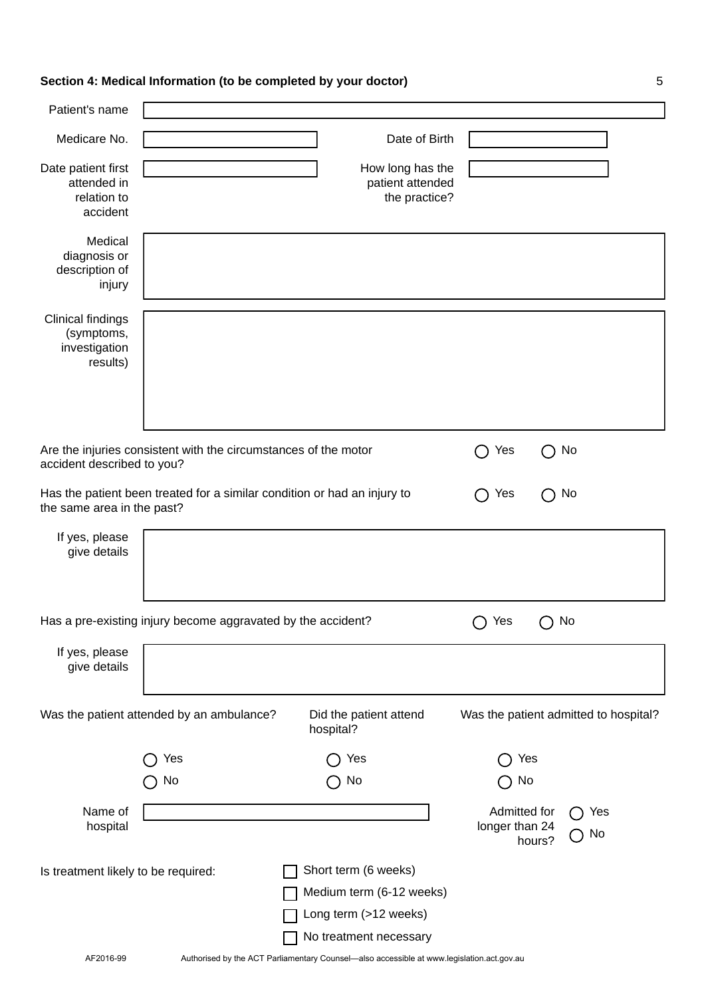# **Section 4: Medical Information (to be completed by your doctor)** 5

| Patient's name                                                      |                                                                          |                                                       |                                |                                       |
|---------------------------------------------------------------------|--------------------------------------------------------------------------|-------------------------------------------------------|--------------------------------|---------------------------------------|
| Medicare No.                                                        |                                                                          | Date of Birth                                         |                                |                                       |
| Date patient first<br>attended in<br>relation to<br>accident        |                                                                          | How long has the<br>patient attended<br>the practice? |                                |                                       |
| Medical<br>diagnosis or<br>description of<br>injury                 |                                                                          |                                                       |                                |                                       |
| <b>Clinical findings</b><br>(symptoms,<br>investigation<br>results) |                                                                          |                                                       |                                |                                       |
| accident described to you?                                          | Are the injuries consistent with the circumstances of the motor          |                                                       | Yes                            | No                                    |
| the same area in the past?                                          | Has the patient been treated for a similar condition or had an injury to |                                                       | Yes                            | No                                    |
| If yes, please<br>give details                                      |                                                                          |                                                       |                                |                                       |
|                                                                     | Has a pre-existing injury become aggravated by the accident?             |                                                       | Yes                            | No                                    |
| If yes, please<br>give details                                      |                                                                          |                                                       |                                |                                       |
|                                                                     | Was the patient attended by an ambulance?                                | Did the patient attend<br>hospital?                   |                                | Was the patient admitted to hospital? |
|                                                                     | Yes                                                                      | Yes                                                   |                                | Yes                                   |
|                                                                     | No                                                                       | No                                                    | No                             |                                       |
| Name of<br>hospital                                                 |                                                                          |                                                       | Admitted for<br>longer than 24 | Yes<br>No<br>hours?                   |
| Is treatment likely to be required:                                 |                                                                          | Short term (6 weeks)                                  |                                |                                       |
|                                                                     |                                                                          | Medium term (6-12 weeks)                              |                                |                                       |
|                                                                     |                                                                          | Long term (>12 weeks)                                 |                                |                                       |
|                                                                     |                                                                          | No treatment necessary                                |                                |                                       |

AF2016-99 Authorised by the ACT Parliamentary Counsel—also accessible at www.legislation.act.gov.au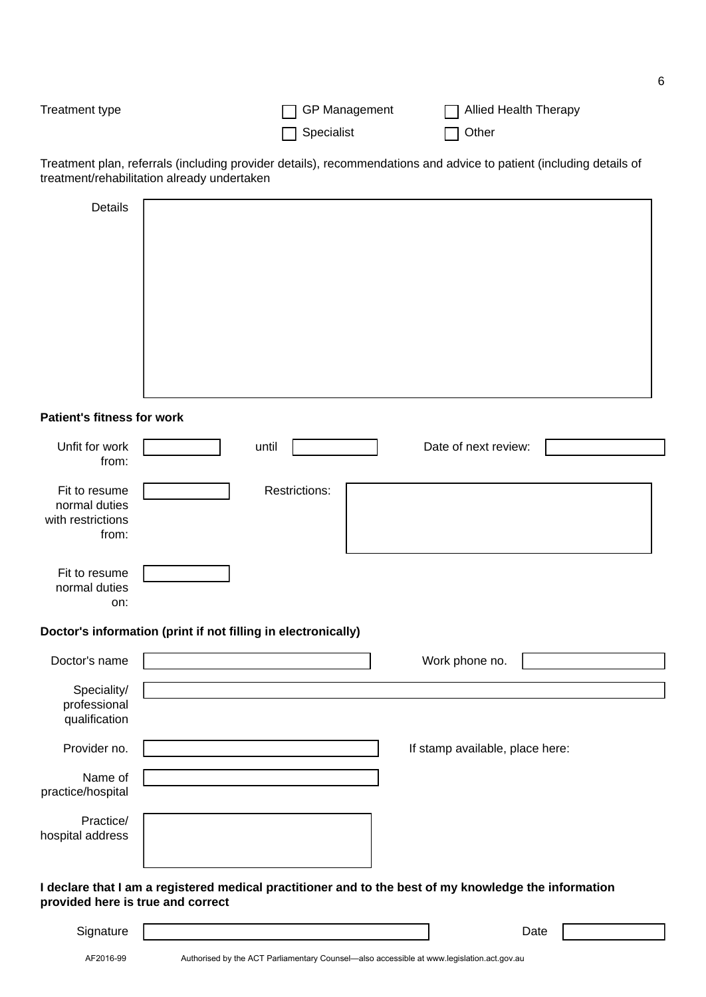| Treatment type | $\Box$ GP Management | □ Allied Health Therapy |
|----------------|----------------------|-------------------------|
|                | $\Box$ Specialist    | $\Box$ Other            |

Treatment plan, referrals (including provider details), recommendations and advice to patient (including details of treatment/rehabilitation already undertaken

| Details |  |
|---------|--|
|         |  |
|         |  |
|         |  |
|         |  |
|         |  |
|         |  |
|         |  |
|         |  |

### **Patient's fitness for work**

| Unfit for work<br>from:                                      | until                                                         | Date of next review:            |  |
|--------------------------------------------------------------|---------------------------------------------------------------|---------------------------------|--|
| Fit to resume<br>normal duties<br>with restrictions<br>from: | <b>Restrictions:</b>                                          |                                 |  |
| Fit to resume<br>normal duties<br>on:                        |                                                               |                                 |  |
|                                                              | Doctor's information (print if not filling in electronically) |                                 |  |
| Doctor's name                                                |                                                               | Work phone no.                  |  |
| Speciality/                                                  |                                                               |                                 |  |
| professional<br>qualification                                |                                                               |                                 |  |
| Provider no.                                                 |                                                               | If stamp available, place here: |  |
| Name of<br>practice/hospital                                 |                                                               |                                 |  |

**I declare that I am a registered medical practitioner and to the best of my knowledge the information provided here is true and correct**

| .<br><b>SAMP</b><br><b>Signature</b><br>- 0<br>∽ |  |
|--------------------------------------------------|--|
|                                                  |  |

Practice/

hospital address